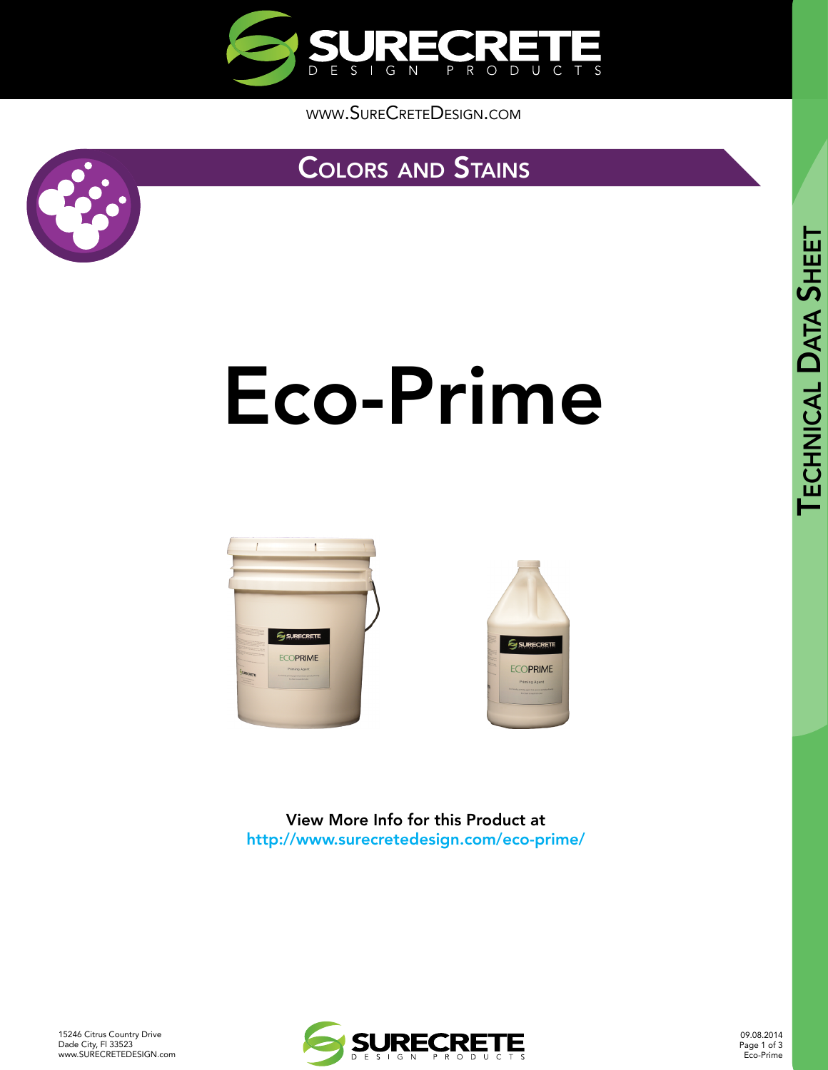

[www.SureCreteDesign.com](http://www.surecretedesign.com)

### [Colors](http://www.surecretedesign.com/concrete-stain/) and Stains



# [Eco-Prime](http://www.surecretedesign.com/eco-prime/)







SURECRETE

**ECOPRIME** 

15246 Citrus Country Drive Dade City, Fl 33523 [www.SURECRETEDESIGN.com](http://www.surecretedesign.com/)



09.08.2014 Page 1 of 3 Eco-Prime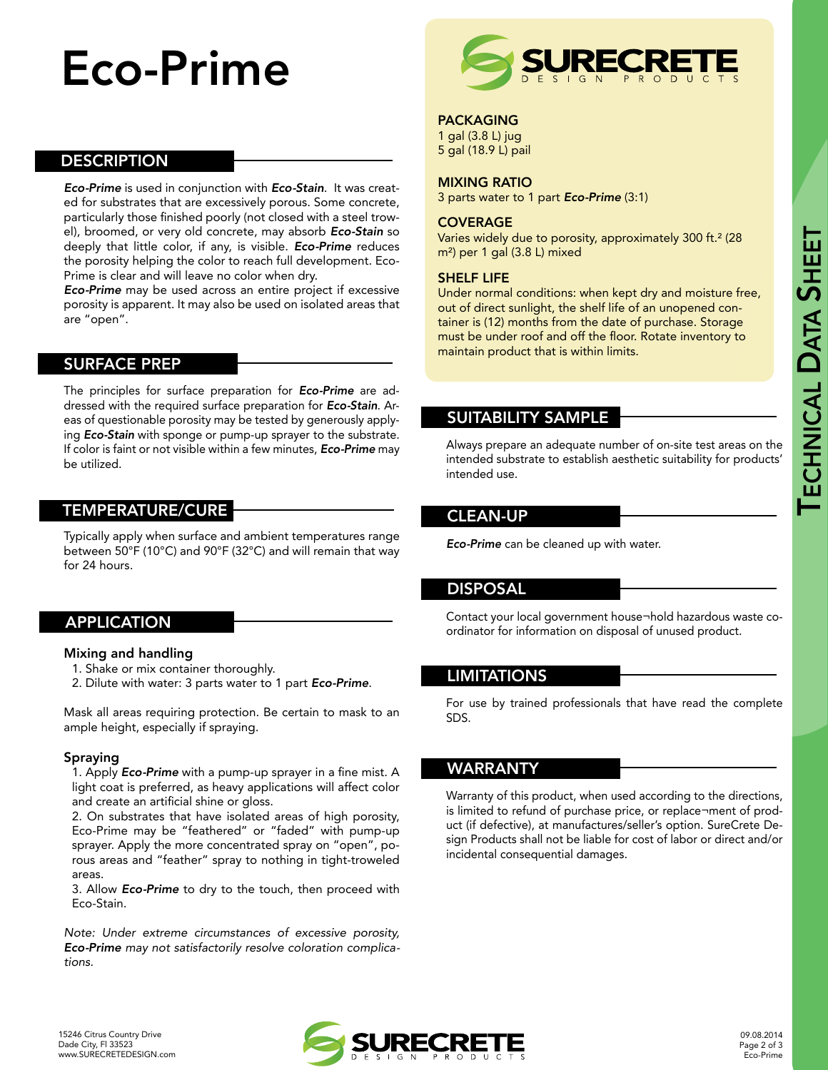## Eco-Prime

#### **DESCRIPTION**

*Eco-Prime* is used in conjunction with *Eco-Stain*. It was created for substrates that are excessively porous. Some concrete, particularly those finished poorly (not closed with a steel trowel), broomed, or very old concrete, may absorb *Eco-Stain* so deeply that little color, if any, is visible. *Eco-Prime* reduces the porosity helping the color to reach full development. Eco-Prime is clear and will leave no color when dry.

*Eco-Prime* may be used across an entire project if excessive porosity is apparent. It may also be used on isolated areas that are "open".

#### SURFACE PREP

The principles for surface preparation for *Eco-Prime* are addressed with the required surface preparation for *Eco-Stain*. Areas of questionable porosity may be tested by generously applying *Eco-Stain* with sponge or pump-up sprayer to the substrate. If color is faint or not visible within a few minutes, *Eco-Prime* may be utilized.

#### TEMPERATURE/CURE

Typically apply when surface and ambient temperatures range between 50°F (10°C) and 90°F (32°C) and will remain that way for 24 hours.

#### APPLICATION

#### Mixing and handling

1. Shake or mix container thoroughly.

2. Dilute with water: 3 parts water to 1 part *Eco-Prime*.

Mask all areas requiring protection. Be certain to mask to an ample height, especially if spraying.

#### Spraying

1. Apply *Eco-Prime* with a pump-up sprayer in a fine mist. A light coat is preferred, as heavy applications will affect color and create an artificial shine or gloss.

2. On substrates that have isolated areas of high porosity, Eco-Prime may be "feathered" or "faded" with pump-up sprayer. Apply the more concentrated spray on "open", porous areas and "feather" spray to nothing in tight-troweled areas.

3. Allow *Eco-Prime* to dry to the touch, then proceed with Eco-Stain.

*Note: Under extreme circumstances of excessive porosity, Eco-Prime may not satisfactorily resolve coloration complications.*



#### PACKAGING

1 gal (3.8 L) jug 5 gal (18.9 L) pail

#### MIXING RATIO

3 parts water to 1 part *Eco-Prime* (3:1)

#### **COVERAGE**

Varies widely due to porosity, approximately 300 ft.<sup>2</sup> (28 m²) per 1 gal (3.8 L) mixed

#### SHELF LIFE

Under normal conditions: when kept dry and moisture free, out of direct sunlight, the shelf life of an unopened container is (12) months from the date of purchase. Storage must be under roof and off the floor. Rotate inventory to maintain product that is within limits.

#### SUITABILITY SAMPLE

Always prepare an adequate number of on-site test areas on the intended substrate to establish aesthetic suitability for products' intended use.

#### CLEAN-UP

*Eco-Prime* can be cleaned up with water.

#### DISPOSAL

Contact your local government house¬hold hazardous waste coordinator for information on disposal of unused product.

#### LIMITATIONS

For use by trained professionals that have read the complete SDS.

#### WARRANTY

Warranty of this product, when used according to the directions, is limited to refund of purchase price, or replace¬ment of product (if defective), at manufactures/seller's option. SureCrete Design Products shall not be liable for cost of labor or direct and/or incidental consequential damages.